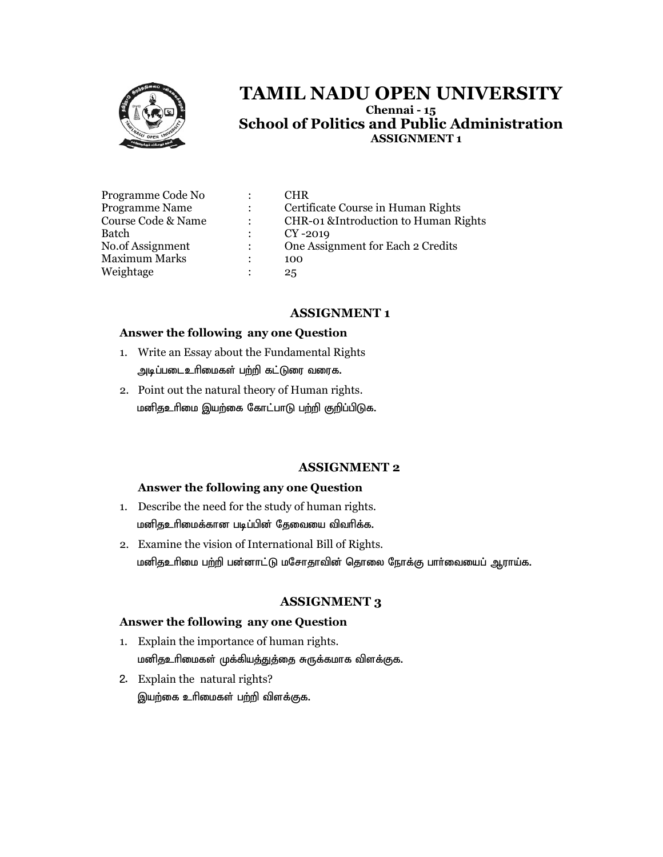

# TAMIL NADU OPEN UNIVERSITY TAMIL Chennai - 15 TAMIL NADU School of Politics and Public Administration<br>ASSIGNMENT 1

| Programme Code No<br>Programme Name<br>Course Code & Name<br>Batch<br>No.of Assignment<br><b>Maximum Marks</b> | $\mathbb{R}^{\mathbb{Z}}$<br>$\mathcal{L}$<br>$\ddot{\phantom{0}}$<br>$\mathbb{R}^n$<br>$\mathcal{L}$<br>٠ | CHR<br>Certificate Course in Human Rights<br>CHR-01 & Introduction to Human Rights<br>$CY-2019$<br>One Assignment for Each 2 Credits<br>100 |
|----------------------------------------------------------------------------------------------------------------|------------------------------------------------------------------------------------------------------------|---------------------------------------------------------------------------------------------------------------------------------------------|
| Weightage                                                                                                      |                                                                                                            | 25                                                                                                                                          |
|                                                                                                                |                                                                                                            |                                                                                                                                             |

#### ASSIGNMENT 1

#### Answer the following any one Question

- 1. Write an Essay about the Fundamental Rights அடிப்படைஉரிமைகள் பற்றி கட்டுரை வரைக. 1. Write an Essay about the Fundamental Rights<br>அடிப்படைஉரிமைகள் பற்றி கட்டுரை வரைக.<br>2. Point out the natural theory of Human rights.
- மனிதஉரிமை இயற்கை கோட்பாடு பற்றி குறிப்பிடுக.

#### ASSIGNMENT 2

#### Answer the following any one Question

- 1. Describe the need for the study of human rights. மனிதஉரிமைக்கான படிப்பின் தேவையை விவரிக்க.
- 2. Examine the vision of International Bill of Rights. மனிதஉரிமை பற்றி பன்னாட்டு மசோதாவின் தொலை நோக்கு பார்வையைப் ஆராய்க.

#### ASSIGNMENT 3

#### Answer the following any one Question

- 1. Explain the importance of human rights. Explain மனிதஉரிமைகள் முக்கியத்துத்தை சுருக்கமாக விளக்குக.
- 2. Explain the natural rights? இயற்கை உரிமைகள் பற்றி விளக்குக.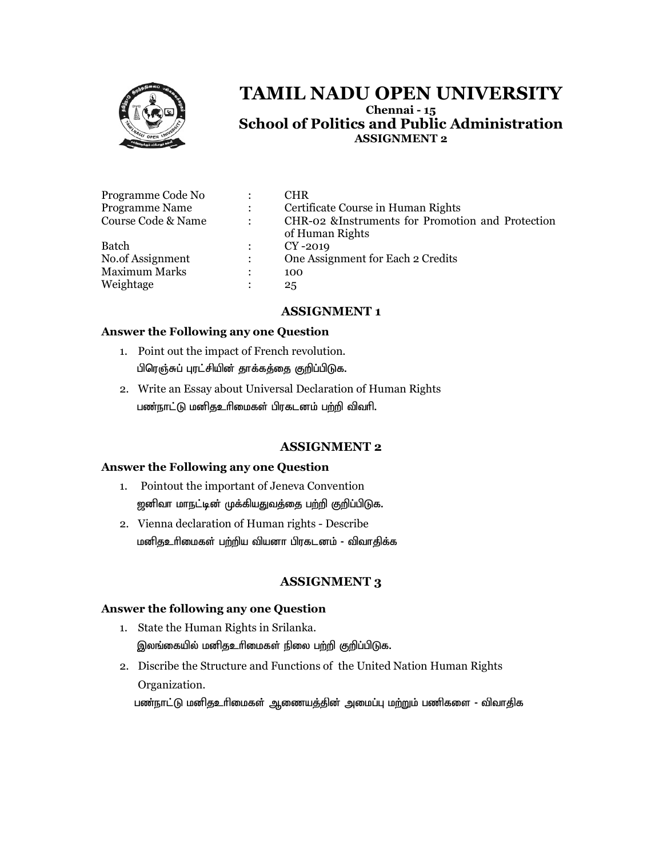

# TAMIL NADU OPEN UNIVERSITY TAMIL Chennai - 15 TAMIL NADU School of Politics and Public Administration<br>ASSIGNMENT 2

| Programme Code No     | $\ddot{\cdot}$            | <b>CHR</b>                                        |
|-----------------------|---------------------------|---------------------------------------------------|
| <b>Programme Name</b> | $\mathbb{R}^{\mathbb{Z}}$ | Certificate Course in Human Rights                |
| Course Code & Name    | $\ddot{\phantom{a}}$      | CHR-02 & Instruments for Promotion and Protection |
|                       |                           | of Human Rights                                   |
| <b>Batch</b>          | $\ddot{\phantom{a}}$      | $CY-2019$                                         |
| No.of Assignment      | $\ddot{\phantom{a}}$      | One Assignment for Each 2 Credits                 |
| <b>Maximum Marks</b>  |                           | 100                                               |
| Weightage             |                           | 25                                                |

#### ASSIGNMENT 1

#### Answer the Following any one Question

- 1. Point out the impact of French revolution. பிரெஞ்சுப் புரட்சியின் தாக்கத்தை குறிப்பிடுக.
- 2. Write an Essay about Universal Declaration of Human Rights பண்நாட்டு மனிதஉரிமைகள் பிரகடனம் பற்றி விவரி.

#### ASSIGNMENT 2

#### Answer the Following any one Question

- 1. Pointout the important of Jeneva Convention ஜனிவா மாநட்டின் முக்கியதுவத்தை பற்றி குறிப்பிடுக.
- 2. Vienna declaration of Human rights Describe மனிதஉரிமைகள் பற்றிய வியனா பிரகடனம் - விவாதிக்க

#### ASSIGNMENT 3

#### Answer the following any one Question

- 1. State the Human Rights in Srilanka. State Human இலங்கையில் மனிதஉரிமைகள் நிலை பற்றி குறிப்பிடுக.
- 2. Discribe the Structure and Functions of the United Nation Human Rights Organization.

பண்நாட்டு மனிதஉரிமைகள் ஆணையத்தின் அமைப்பு மற்றும் பணிகளை - விவாதிக